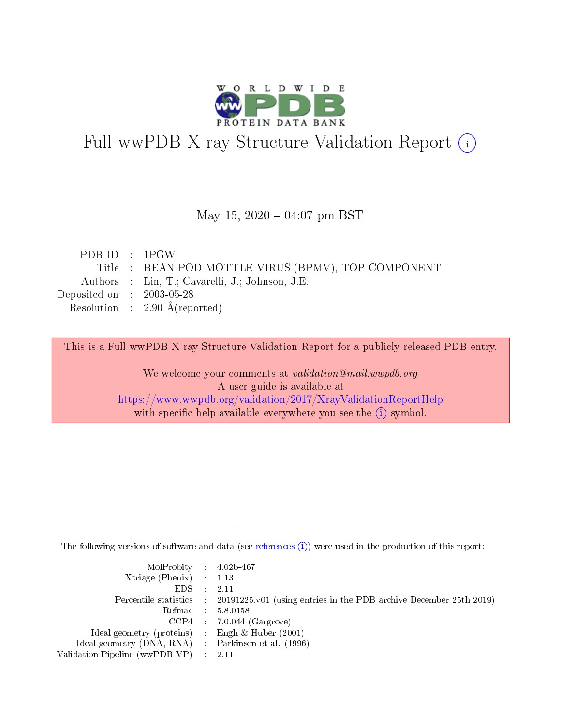

# Full wwPDB X-ray Structure Validation Report (i)

#### May 15,  $2020 - 04:07$  pm BST

| PDB ID : 1PGW               |                                                     |
|-----------------------------|-----------------------------------------------------|
|                             | Title : BEAN POD MOTTLE VIRUS (BPMV), TOP COMPONENT |
|                             | Authors : Lin, T.; Cavarelli, J.; Johnson, J.E.     |
| Deposited on : $2003-05-28$ |                                                     |
|                             | Resolution : $2.90 \text{ Å}$ (reported)            |
|                             |                                                     |

This is a Full wwPDB X-ray Structure Validation Report for a publicly released PDB entry.

We welcome your comments at validation@mail.wwpdb.org A user guide is available at <https://www.wwpdb.org/validation/2017/XrayValidationReportHelp> with specific help available everywhere you see the  $(i)$  symbol.

The following versions of software and data (see [references](https://www.wwpdb.org/validation/2017/XrayValidationReportHelp#references)  $(i)$ ) were used in the production of this report:

| MolProbity : $4.02b-467$                            |                                                                                            |
|-----------------------------------------------------|--------------------------------------------------------------------------------------------|
| Xtriage (Phenix) $: 1.13$                           |                                                                                            |
| EDS -                                               | 2.11                                                                                       |
|                                                     | Percentile statistics : 20191225.v01 (using entries in the PDB archive December 25th 2019) |
|                                                     | Refmac 58.0158                                                                             |
|                                                     | $CCP4$ 7.0.044 (Gargrove)                                                                  |
| Ideal geometry (proteins) : Engh $\&$ Huber (2001)  |                                                                                            |
| Ideal geometry (DNA, RNA) : Parkinson et al. (1996) |                                                                                            |
| Validation Pipeline (wwPDB-VP)                      | -2.11                                                                                      |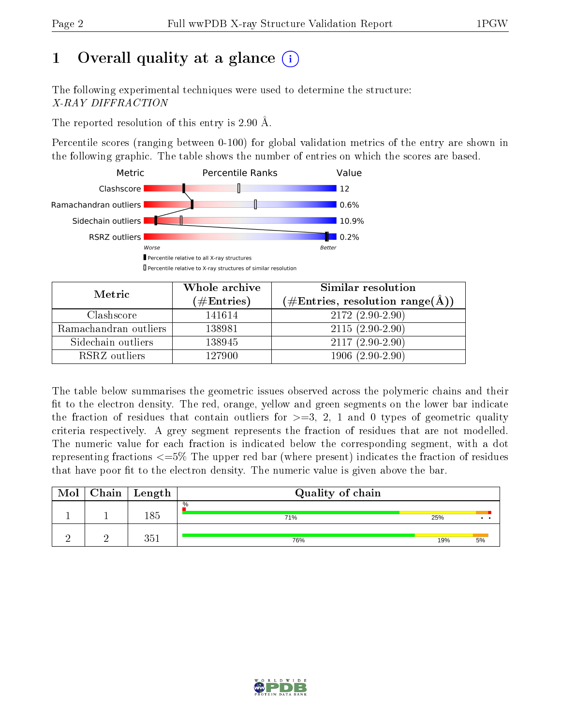# 1 [O](https://www.wwpdb.org/validation/2017/XrayValidationReportHelp#overall_quality)verall quality at a glance  $(i)$

The following experimental techniques were used to determine the structure: X-RAY DIFFRACTION

The reported resolution of this entry is 2.90 Å.

Percentile scores (ranging between 0-100) for global validation metrics of the entry are shown in the following graphic. The table shows the number of entries on which the scores are based.



| Metric                | Whole archive<br>(# $\rm{Entries}$ ) | Similar resolution<br>$(\# \text{Entries}, \text{resolution range}(\text{\AA}))$ |
|-----------------------|--------------------------------------|----------------------------------------------------------------------------------|
| Clashscore            | 141614                               | $2172(2.90-2.90)$                                                                |
| Ramachandran outliers | 138981                               | $2115(2.90-2.90)$                                                                |
| Sidechain outliers    | 138945                               | $2117(2.90-2.90)$                                                                |
| RSRZ outliers         | 127900                               | $1906(2.90-2.90)$                                                                |

The table below summarises the geometric issues observed across the polymeric chains and their fit to the electron density. The red, orange, yellow and green segments on the lower bar indicate the fraction of residues that contain outliers for  $\geq=3$ , 2, 1 and 0 types of geometric quality criteria respectively. A grey segment represents the fraction of residues that are not modelled. The numeric value for each fraction is indicated below the corresponding segment, with a dot representing fractions  $\epsilon=5\%$  The upper red bar (where present) indicates the fraction of residues that have poor fit to the electron density. The numeric value is given above the bar.

| Mol | Chain | Length | Quality of chain |     |    |
|-----|-------|--------|------------------|-----|----|
|     |       | 185    | $\%$<br>71%      | 25% |    |
|     |       | 351    | 76%              | 19% | 5% |

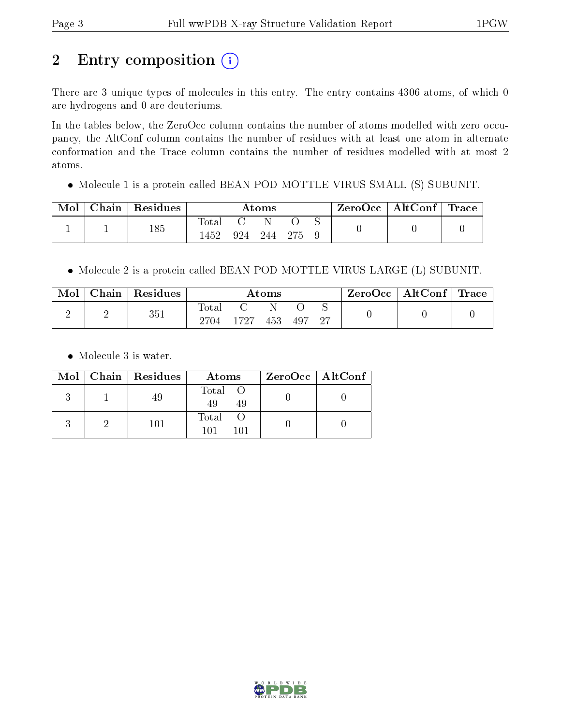# 2 Entry composition (i)

There are 3 unique types of molecules in this entry. The entry contains 4306 atoms, of which 0 are hydrogens and 0 are deuteriums.

In the tables below, the ZeroOcc column contains the number of atoms modelled with zero occupancy, the AltConf column contains the number of residues with at least one atom in alternate conformation and the Trace column contains the number of residues modelled with at most 2 atoms.

Molecule 1 is a protein called BEAN POD MOTTLE VIRUS SMALL (S) SUBUNIT.

| Mol | Chain   Residues | $\rm{Atoms}$       |     |      | ZeroOcc   AltConf   Trace |  |  |  |
|-----|------------------|--------------------|-----|------|---------------------------|--|--|--|
|     | 185              | $\rm Total$<br>452 | 924 | -244 | - 275                     |  |  |  |

• Molecule 2 is a protein called BEAN POD MOTTLE VIRUS LARGE (L) SUBUNIT.

| Mol | $\alpha$ hain | Residues | $\rm{Atoms}$           |      |     |     | $+$ ZeroOcc $+$ | AltConf | $\perp$ Trace |  |
|-----|---------------|----------|------------------------|------|-----|-----|-----------------|---------|---------------|--|
| ↵   | -             | 351      | $_{\rm Total}$<br>2704 | 1727 | 453 | 497 | -27             |         |               |  |

• Molecule 3 is water.

|  | $Mol$   Chain   Residues | Atoms                | $ZeroOcc \mid AltConf \mid$ |
|--|--------------------------|----------------------|-----------------------------|
|  | 49                       | Total O<br>-49<br>49 |                             |
|  | $101\,$                  | Total                |                             |

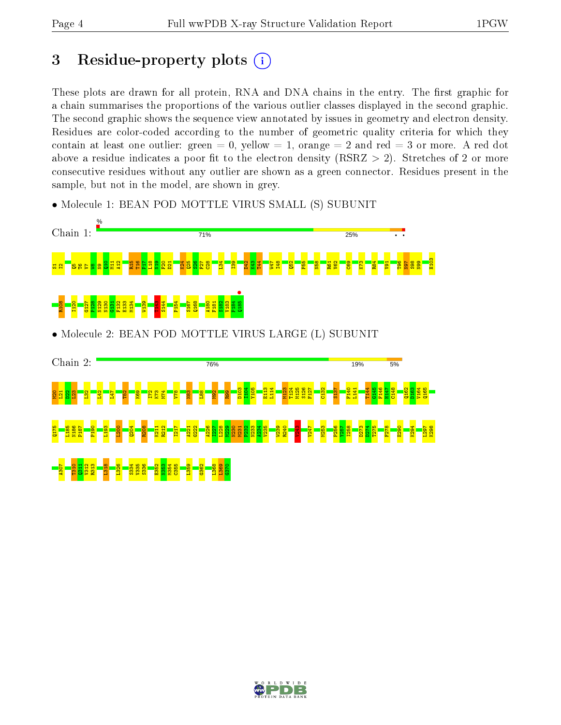## 3 Residue-property plots  $(i)$

These plots are drawn for all protein, RNA and DNA chains in the entry. The first graphic for a chain summarises the proportions of the various outlier classes displayed in the second graphic. The second graphic shows the sequence view annotated by issues in geometry and electron density. Residues are color-coded according to the number of geometric quality criteria for which they contain at least one outlier: green  $= 0$ , yellow  $= 1$ , orange  $= 2$  and red  $= 3$  or more. A red dot above a residue indicates a poor fit to the electron density (RSRZ  $> 2$ ). Stretches of 2 or more consecutive residues without any outlier are shown as a green connector. Residues present in the sample, but not in the model, are shown in grey.

• Molecule 1: BEAN POD MOTTLE VIRUS SMALL (S) SUBUNIT



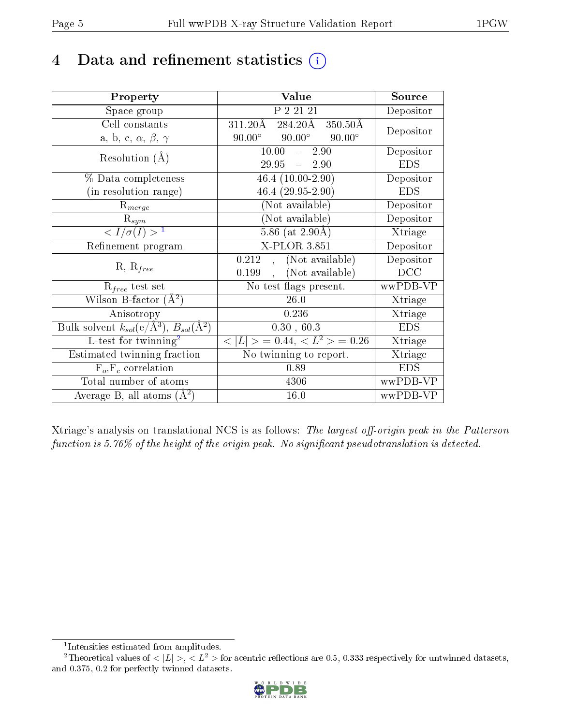# 4 Data and refinement statistics  $(i)$

| Property                                                   | Value                                                | Source     |
|------------------------------------------------------------|------------------------------------------------------|------------|
| Space group                                                | P 2 21 21                                            | Depositor  |
| Cell constants                                             | 284.20Å<br>$311.20\text{\AA}$<br>$350.50\text{\AA}$  | Depositor  |
| a, b, c, $\alpha$ , $\beta$ , $\gamma$                     | $90.00^\circ$<br>$90.00^\circ$<br>$90.00^{\circ}$    |            |
| Resolution $(A)$                                           | 10.00<br>2.90<br>$\frac{1}{2}$                       | Depositor  |
|                                                            | $29.95 - 2.90$                                       | <b>EDS</b> |
| % Data completeness                                        | 46.4 $(10.00-2.90)$                                  | Depositor  |
| (in resolution range)                                      | $46.4(29.95-2.90)$                                   | <b>EDS</b> |
| $R_{merge}$                                                | (Not available)                                      | Depositor  |
| $\mathrm{R}_{sym}$                                         | $(Not\ avariable)$                                   | Depositor  |
| $\langle I/\sigma(I) \rangle^{-1}$                         | $5.86$ (at $2.90\text{\AA}$ )                        | Xtriage    |
| Refinement program                                         | $X$ -PLOR 3.851                                      | Depositor  |
|                                                            | (Not available)<br>0.212<br>$\overline{\phantom{a}}$ | Depositor  |
| $R, R_{free}$                                              | (Not available)<br>0.199                             | DCC        |
| $R_{free}$ test set                                        | No test flags present.                               | wwPDB-VP   |
| Wilson B-factor $(A^2)$                                    | 26.0                                                 | Xtriage    |
| Anisotropy                                                 | 0.236                                                | Xtriage    |
| Bulk solvent $k_{sol}$ (e/Å <sup>3</sup> ), $B_{sol}(A^2)$ | 0.30, 60.3                                           | <b>EDS</b> |
| L-test for $\mathrm{twinning}^2$                           | $< L >$ = 0.44, $< L2 >$ = 0.26                      | Xtriage    |
| Estimated twinning fraction                                | No twinning to report.                               | Xtriage    |
| $\overline{F_o}, \overline{F_c}$ correlation               | 0.89                                                 | <b>EDS</b> |
| Total number of atoms                                      | 4306                                                 | wwPDB-VP   |
| Average B, all atoms $(A^2)$                               | 16.0                                                 | wwPDB-VP   |

Xtriage's analysis on translational NCS is as follows: The largest off-origin peak in the Patterson function is  $5.76\%$  of the height of the origin peak. No significant pseudotranslation is detected.

<sup>&</sup>lt;sup>2</sup>Theoretical values of  $\langle |L| \rangle$ ,  $\langle L^2 \rangle$  for acentric reflections are 0.5, 0.333 respectively for untwinned datasets, and 0.375, 0.2 for perfectly twinned datasets.



<span id="page-4-1"></span><span id="page-4-0"></span><sup>1</sup> Intensities estimated from amplitudes.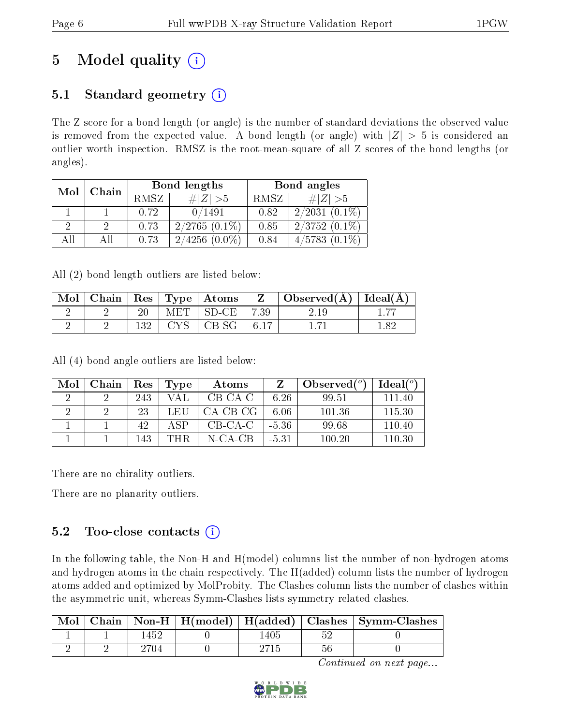# 5 Model quality  $(i)$

### 5.1 Standard geometry  $(i)$

The Z score for a bond length (or angle) is the number of standard deviations the observed value is removed from the expected value. A bond length (or angle) with  $|Z| > 5$  is considered an outlier worth inspection. RMSZ is the root-mean-square of all Z scores of the bond lengths (or angles).

| Mol | Chain |      | Bond lengths        | Bond angles |                     |  |
|-----|-------|------|---------------------|-------------|---------------------|--|
|     |       | RMSZ | $\# Z  > 5$         | RMSZ        | # $ Z  > 5$         |  |
|     |       | 0.72 | 0/1491              | 0.82        | $2/2031(0.1\%)$     |  |
| 9   |       | 0.73 | $2/2765(0.1\%)$     | 0.85        | $2/3752(0.1\%)$     |  |
| AII |       | 0.73 | $(0.0\%)$<br>2/4256 | 0.84        | 4/5783<br>$(0.1\%)$ |  |

All (2) bond length outliers are listed below:

| Mol |  |       | Chain   $\text{Res}$   $\text{Type}$   Atoms |         | Observed $(A)$ | Ideal $(A)$ |
|-----|--|-------|----------------------------------------------|---------|----------------|-------------|
|     |  | MET - | $SD-CE$                                      | 7.39    |                |             |
|     |  | CVC   | $CB-SG$                                      | $-6.17$ |                | -89         |

All (4) bond angle outliers are listed below:

| Mol | Chain | Res | Type | Atoms    |         | Observed $(°)$ | Ideal $\binom{o}{c}$ |
|-----|-------|-----|------|----------|---------|----------------|----------------------|
|     |       | 243 | VAL  | CB-CA-C  | $-6.26$ | 99.51          | 111 40               |
|     |       | 23  | LEU  | CA-CB-CG | -6.06   | 101.36         | 115.30               |
|     |       | 42  | A SP | CB-CA-C  | $-5.36$ | 99.68          | 110.40               |
|     |       | 143 | THR  | N-CA-CB  | -5.31   | 100.20         | 110.30               |

There are no chirality outliers.

There are no planarity outliers.

### 5.2 Too-close contacts  $(i)$

In the following table, the Non-H and H(model) columns list the number of non-hydrogen atoms and hydrogen atoms in the chain respectively. The H(added) column lists the number of hydrogen atoms added and optimized by MolProbity. The Clashes column lists the number of clashes within the asymmetric unit, whereas Symm-Clashes lists symmetry related clashes.

| Mol | Chain |     |     |    | $\mid$ Non-H $\mid$ H(model) $\mid$ H(added) $\mid$ Clashes $\mid$ Symm-Clashes |
|-----|-------|-----|-----|----|---------------------------------------------------------------------------------|
|     |       | 452 | 405 |    |                                                                                 |
|     |       |     |     | 56 |                                                                                 |

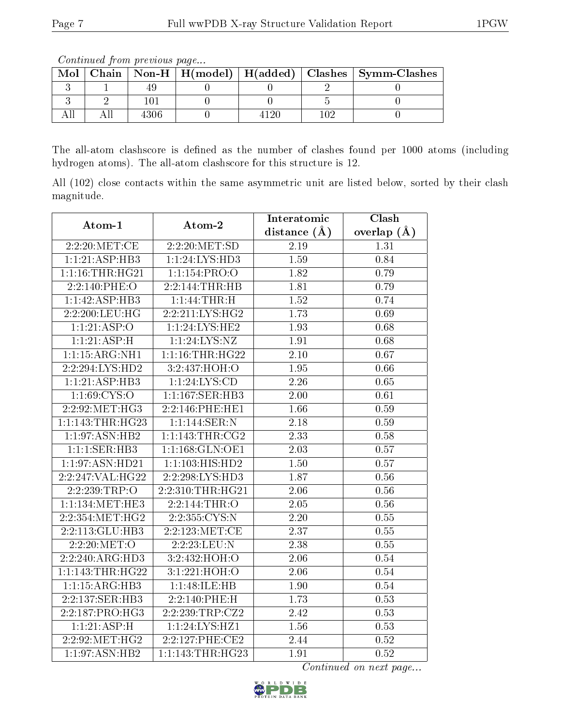The all-atom clashscore is defined as the number of clashes found per 1000 atoms (including hydrogen atoms). The all-atom clashscore for this structure is 12.

All (102) close contacts within the same asymmetric unit are listed below, sorted by their clash magnitude.

| Atom-1           | Atom-2           | Interatomic       | Clash         |
|------------------|------------------|-------------------|---------------|
|                  |                  | distance $(\AA)$  | overlap $(A)$ |
| $2:2:20$ :MET:CE | 2:2:20:MET:SD    | 2.19              | 1.31          |
| 1:1:21:ASP:HB3   | 1:1:24:LYS:HD3   | 1.59              | 0.84          |
| 1:1:16:THR:HG21  | 1:1:154:PRO:O    | 1.82              | 0.79          |
| 2:2:140:PHE:O    | 2:2:144:THR:HB   | 1.81              | 0.79          |
| 1:1:42:ASP:HB3   | 1:1:44:THR:H     | 1.52              | 0.74          |
| 2:2:200:LEU:HG   | 2:2:211:LYS:HG2  | 1.73              | 0.69          |
| 1:1:21:ASP:O     | 1:1:24:LYS:HE2   | $\overline{1.93}$ | 0.68          |
| 1:1:21:ASP:H     | 1:1:24:LYS:NZ    | 1.91              | 0.68          |
| 1:1:15:ARG:NH1   | 1:1:16:THR:HG22  | $\overline{2.10}$ | 0.67          |
| 2:2:294:LYS:HD2  | 3:2:437:HOH:O    | 1.95              | 0.66          |
| 1:1:21:ASP:HB3   | 1:1:24:LYS:CD    | 2.26              | 0.65          |
| 1:1:69:CYS:O     | 1:1:167:SER:HB3  | 2.00              | 0.61          |
| 2:2:92:MET:HG3   | 2:2:146:PHE:HE1  | 1.66              | 0.59          |
| 1:1:143:THR:HG23 | 1:1:144:SER:N    | 2.18              | 0.59          |
| 1:1:97:ASN:HB2   | 1:1:143:THR:CG2  | 2.33              | 0.58          |
| 1:1:1:SER:HB3    | 1:1:168:GLN:OE1  | 2.03              | 0.57          |
| 1:1:97:ASN:HD21  | 1:1:103:HIS:HD2  | $\overline{1.50}$ | 0.57          |
| 2:2:247:VAL:HG22 | 2:2:298:LYS:HD3  | 1.87              | 0.56          |
| 2:2:239:TRP:O    | 2:2:310:THR:HG21 | 2.06              | 0.56          |
| 1:1:134:MET:HE3  | 2:2:144:THR:O    | 2.05              | 0.56          |
| 2:2:354:MET:HG2  | 2:2:355:CYS:N    | 2.20              | $0.55\,$      |
| 2:2:113:GLU:HB3  | 2:2:123:MET:CE   | 2.37              | 0.55          |
| 2:2:20:MET:O     | 2:2:23:LEU:N     | 2.38              | 0.55          |
| 2:2:240:ARG:HD3  | 3:2:432:HOH:O    | $\overline{2.06}$ | 0.54          |
| 1:1:143:THR:HG22 | 3:1:221:HOH:O    | 2.06              | 0.54          |
| 1:1:15:ARG:HB3   | 1:1:48:ILE:HB    | 1.90              | 0.54          |
| 2:2:137:SER:HB3  | 2:2:140:PHE:H    | 1.73              | 0.53          |
| 2:2:187:PRO:HG3  | 2:2:239:TRP:CZ2  | 2.42              | 0.53          |
| 1:1:21:ASP:H     | 1:1:24:LYS:HZ1   | 1.56              | 0.53          |
| 2:2:92:MET:HG2   | 2:2:127:PHE:CE2  | 2.44              | 0.52          |
| 1:1:97:ASN:HB2   | 1:1:143:THR:HG23 | 1.91              | 0.52          |



Mol | Chain | Non-H | H(model) | H(added) | Clashes | Symm-Clashes  $3 \begin{array}{|c|c|c|c|c|c|c|c|} \hline 1 & 49 & 0 & 0 & 2 & 0 \ \hline \end{array}$  $3 \mid 2 \mid 101 \mid 0 \mid 0 \mid 5 \mid 0$ All | All | 4306 | 0 | 4120 | 102 | 0

Continued from previous page...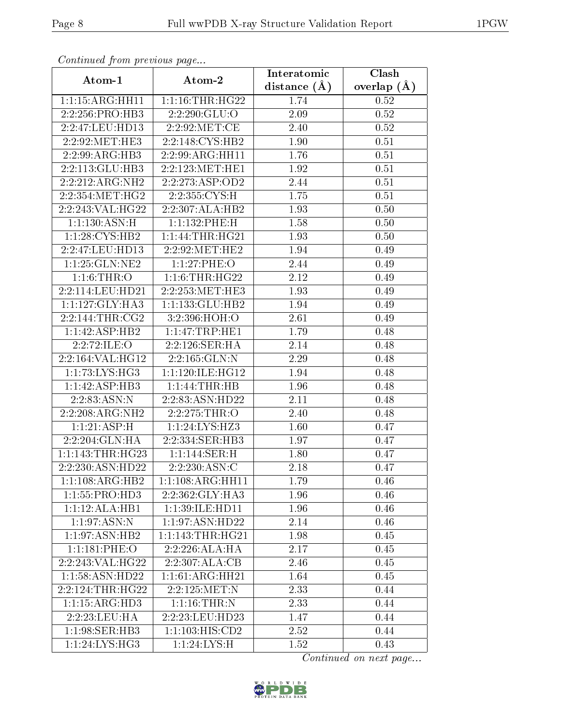| Continual from previous page |                        | Interatomic    | $\overline{\text{Clash}}$ |  |
|------------------------------|------------------------|----------------|---------------------------|--|
| Atom-1                       | Atom-2                 | distance $(A)$ | overlap $(\AA)$           |  |
| 1:1:15:ARG:HH11              | 1:1:16:THR:HG22        | 1.74           | 0.52                      |  |
| 2:2:256:PRO:HB3              | 2:2:290:GLU:O          | 2.09           | 0.52                      |  |
| 2:2:47:LEU:HD13              | 2:2:92:MET:CE          | 2.40           | 0.52                      |  |
| 2:2:92:MET:HE3               | 2:2:148:CYS:HB2        | 1.90           | 0.51                      |  |
| 2:2:99:ARG:HB3               | 2:2:99:ARG:HH11        | 1.76           | 0.51                      |  |
| 2:2:113:GLU:HB3              | $2:2:123$ : MET: HE1   | 1.92           | 0.51                      |  |
| 2:2:212:ARG:NH2              | 2:2:273:ASP:OD2        | 2.44           | 0.51                      |  |
| 2:2:354:MET:HG2              | 2:2:355:CYS:H          | 1.75           | 0.51                      |  |
| 2:2:243:VAL:HG22             | 2:2:307:ALA:HB2        | 1.93           | 0.50                      |  |
| 1:1:130:ASN:H                | 1:1:132:PHE:H          | 1.58           | 0.50                      |  |
| 1:1:28: CYS: HB2             | 1:1:44:THR:HG21        | 1.93           | 0.50                      |  |
| 2:2:47:LEU:HD13              | 2:2:92:MET:HE2         | 1.94           | 0.49                      |  |
| 1:1:25:GLN:NE2               | 1:1:27:PHE:O           | 2.44           | 0.49                      |  |
| 1:1:6:THR:O                  | 1:1:6:THR:HG22         | 2.12           | 0.49                      |  |
| 2:2:114:LEU:HD21             | 2:2:253:MET:HE3        | 1.93           | 0.49                      |  |
| 1:1:127:GLY:HA3              | 1:1:133:GLU:HB2        | 1.94           | 0.49                      |  |
| 2:2:144:THR:CG2              | 3:2:396:HOH:O          | 2.61           | 0.49                      |  |
| 1:1:42:ASP:HB2               | $1:1:47$ : TRP: HE $1$ | 1.79           | 0.48                      |  |
| 2:2:72:ILE:O                 | 2:2:126:SER:HA         | 2.14           | 0.48                      |  |
| 2:2:164:VAL:HG12             | 2:2:165:GLN:N          | 2.29           | 0.48                      |  |
| 1:1:73:LYS:HG3               | 1:1:120:1LE:HG12       | 1.94           | 0.48                      |  |
| 1:1:42:ASP:HB3               | 1:1:44:THR:HB          | 1.96           | 0.48                      |  |
| 2:2:83:ASN:N                 | 2:2:83:ASN:HD22        | 2.11           | 0.48                      |  |
| 2:2:208:ARG:NH2              | 2:2:275:THR:O          | 2.40           | 0.48                      |  |
| 1:1:21:ASP:H                 | 1:1:24:LYS:HZ3         | 1.60           | 0.47                      |  |
| 2:2:204:GLN:HA               | 2:2:334:SER:HB3        | 1.97           | 0.47                      |  |
| 1:1:143:THR:HG23             | 1:1:144:SER:H          | 1.80           | 0.47                      |  |
| 2:2:230:ASN:HD22             | 2:2:230:ASN:C          | 2.18           | 0.47                      |  |
| $1:1:108:ARG:\overline{HB2}$ | 1:1:108:ARG:HH11       | 1.79           | 0.46                      |  |
| 1:1:55:PRO:HD3               | 2:2:362:GLY:HA3        | 1.96           | 0.46                      |  |
| 1:1:12:ALA:HB1               | 1:1:39:ILE:HD11        | 1.96           | 0.46                      |  |
| 1:1:97:ASN:N                 | 1:1:97:ASN:HD22        | 2.14           | 0.46                      |  |
| 1:1:97:ASN:HB2               | 1:1:143:THR:HG21       | 1.98           | 0.45                      |  |
| 1:1:181:PHE:O                | 2:2:226:ALA:HA         | 2.17           | 0.45                      |  |
| 2:2:243:VAL:HG22             | 2:2:307:ALA:CB         | 2.46           | 0.45                      |  |
| 1:1:58:ASN:HD22              | 1:1:61:ARG:HH21        | 1.64           | 0.45                      |  |
| 2:2:124:THR:HG22             | 2:2:125:MET:N          | 2.33           | 0.44                      |  |
| 1:1:15:ARG:HD3               | 1:1:16:THR:N           | 2.33           | 0.44                      |  |
| 2:2:23:LEU:HA                | 2:2:23:LEU:HD23        | 1.47           | 0.44                      |  |
| 1:1:98:SER:HB3               | 1:1:103:HIS:CD2        | 2.52           | 0.44                      |  |
| $1:1:24:LYS:\overline{HG3}$  | 1:1:24:LYS:H           | 1.52           | 0.43                      |  |

Continued from previous page.

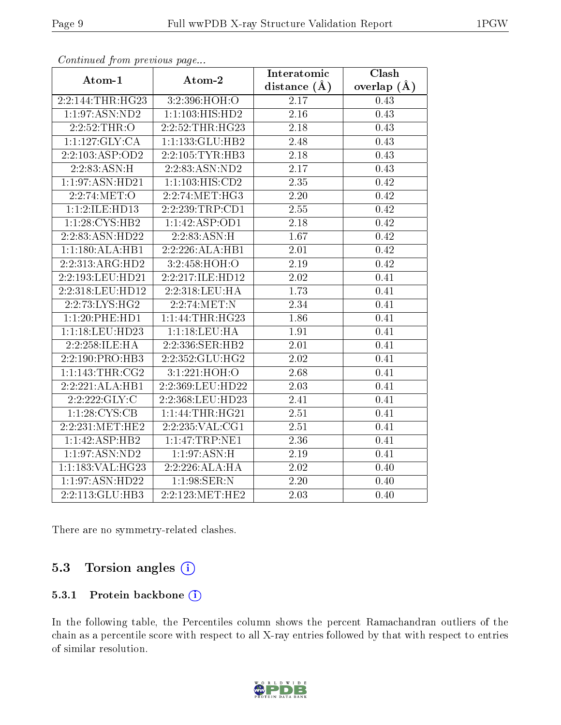| . . <i>. .</i>   | $\mathbf{r}$ $\mathbf{r}$ $\mathbf{r}$ $\mathbf{r}$ | Interatomic       | Clash           |
|------------------|-----------------------------------------------------|-------------------|-----------------|
| Atom-1           | Atom-2                                              | distance $(A)$    | overlap $(\AA)$ |
| 2:2:144:THR:HG23 | 3:2:396:HOH:O                                       | 2.17              | 0.43            |
| 1:1:97:ASN:ND2   | 1:1:103:HIS:HD2                                     | $\overline{2.16}$ | 0.43            |
| 2:2:52:THR:O     | 2:2:52:THR:HG23                                     | 2.18              | 0.43            |
| 1:1:127:GLY:CA   | 1:1:133:GLU:HB2                                     | 2.48              | 0.43            |
| 2:2:103:ASP:OD2  | 2:2:105:TYR:HB3                                     | 2.18              | 0.43            |
| 2:2:83:ASN:H     | 2:2:83:ASN:ND2                                      | 2.17              | 0.43            |
| 1:1:97:ASN:HD21  | 1:1:103:HIS:CD2                                     | 2.35              | 0.42            |
| 2:2:74:MET:O     | 2:2:74:MET:HG3                                      | 2.20              | 0.42            |
| 1:1:2:ILE:HD13   | 2:2:239:TRP:CD1                                     | 2.55              | 0.42            |
| 1:1:28:CYS:HB2   | 1:1:42:ASP:OD1                                      | 2.18              | 0.42            |
| 2:2:83:ASN:HD22  | 2:2:83:ASN:H                                        | 1.67              | 0.42            |
| 1:1:180:ALA:HB1  | 2:2:226: ALA: HB1                                   | $\overline{2.01}$ | 0.42            |
| 2:2:313:ARG:HD2  | 3:2:458:HOH:O                                       | 2.19              | 0.42            |
| 2:2:193:LEU:HD21 | 2:2:217:ILE:HD12                                    | 2.02              | 0.41            |
| 2:2:318:LEU:HD12 | 2:2:318:LEU:HA                                      | 1.73              | 0.41            |
| 2:2:73:LYS:HG2   | 2:2:74:MET:N                                        | 2.34              | 0.41            |
| 1:1:20:PHE:HD1   | 1:1:44:THR:HG23                                     | 1.86              | 0.41            |
| 1:1:18:LEU:HD23  | 1:1:18:LEU:HA                                       | 1.91              | 0.41            |
| 2:2:258:ILE:HA   | 2:2:336:SER:HB2                                     | 2.01              | 0.41            |
| 2:2:190:PRO:HB3  | 2:2:352:GLU:HG2                                     | 2.02              | 0.41            |
| 1:1:143:THR:CG2  | 3:1:221:HOH:O                                       | 2.68              | 0.41            |
| 2:2:221:ALA:HB1  | 2:2:369:LEU:HD22                                    | 2.03              | 0.41            |
| 2:2:222:GLY:C    | 2:2:368:LEU:HD23                                    | 2.41              | 0.41            |
| 1:1:28:CYS:CB    | 1:1:44:THR:HG21                                     | 2.51              | 0.41            |
| 2:2:231:MET:HE2  | 2:2:235:VAL:CG1                                     | 2.51              | 0.41            |
| 1:1:42:ASP:HB2   | 1:1:47:TRP:NE1                                      | 2.36              | 0.41            |
| 1:1:97:ASN:ND2   | 1:1:97:ASN:H                                        | 2.19              | 0.41            |
| 1:1:183:VAL:HG23 | 2:2:226:ALA:HA                                      | $2.02\,$          | 0.40            |
| 1:1:97:ASN:HD22  | $1:1:98$ : SER: N                                   | 2.20              | 0.40            |
| 2:2:113:GLU:HB3  | 2:2:123:MET:HE2                                     | 2.03              | 0.40            |

Continued from previous page...

There are no symmetry-related clashes.

### 5.3 Torsion angles (i)

#### 5.3.1 Protein backbone (i)

In the following table, the Percentiles column shows the percent Ramachandran outliers of the chain as a percentile score with respect to all X-ray entries followed by that with respect to entries of similar resolution.

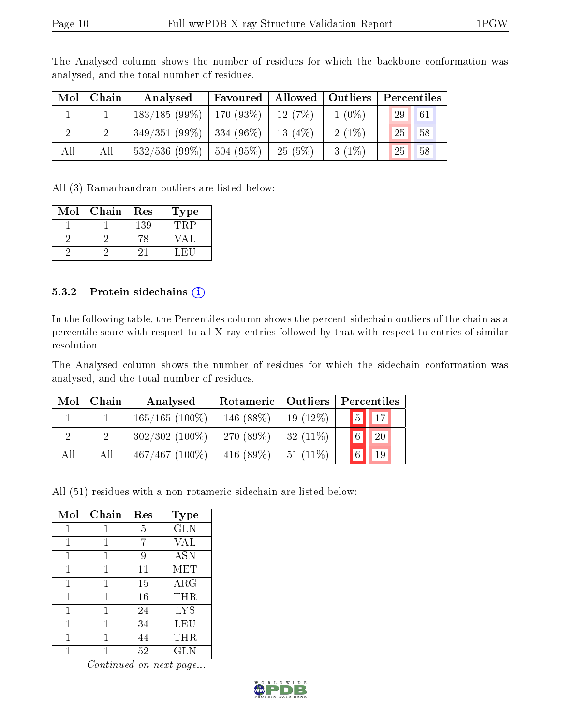|                | $Mol$   Chain | Analysed                     | Favoured                | Allowed   Outliers |          | Percentiles |    |
|----------------|---------------|------------------------------|-------------------------|--------------------|----------|-------------|----|
|                |               | $183/185(99\%)$   170 (93\%) |                         | 12(7%)             | $1(0\%)$ | 29          | 61 |
| $\overline{2}$ |               | $349/351(99\%)$ 334 (96\%)   |                         | $13(4\%)$          | $2(1\%)$ | 25          | 58 |
| All            | Αll           | 532/536(99%)                 | $\frac{1}{2}$ 504 (95%) | 25(5%)             | $3(1\%)$ | 25          | 58 |

The Analysed column shows the number of residues for which the backbone conformation was analysed, and the total number of residues.

All (3) Ramachandran outliers are listed below:

| Mol | Chain | Res | Type |
|-----|-------|-----|------|
|     |       | 139 | TR F |
|     |       |     |      |
|     |       |     |      |

#### 5.3.2 Protein sidechains  $(i)$

In the following table, the Percentiles column shows the percent sidechain outliers of the chain as a percentile score with respect to all X-ray entries followed by that with respect to entries of similar resolution.

The Analysed column shows the number of residues for which the sidechain conformation was analysed, and the total number of residues.

| Mol | Chain | Analysed          | Rotameric   Outliers |            | Percentiles                    |
|-----|-------|-------------------|----------------------|------------|--------------------------------|
|     |       | $165/165$ (100\%) | 146 (88%)            | $19(12\%)$ | $\vert 5 \vert \vert 17 \vert$ |
|     |       | $302/302$ (100\%) | 270 (89%)            | $32(11\%)$ | $\vert 6 \vert$<br>20          |
| All | All   | $467/467$ (100%)  | 416 $(89%)$          | $51(11\%)$ | $\vert 6 \vert$<br>19          |

All (51) residues with a non-rotameric sidechain are listed below:

| Mol | Chain | Res | Type       |
|-----|-------|-----|------------|
| 1   | 1     | 5   | <b>GLN</b> |
| 1   | 1     | 7   | VAL        |
|     |       | 9   | <b>ASN</b> |
| 1   | 1     | 11  | MET        |
| 1   | 1     | 15  | $\rm{ARG}$ |
| 1   | 1     | 16  | THR        |
| 1   | 1     | 24  | <b>LYS</b> |
| 1   |       | 34  | LEU        |
| 1   | 1     | 44  | THR        |
|     |       | 52  | GLN        |

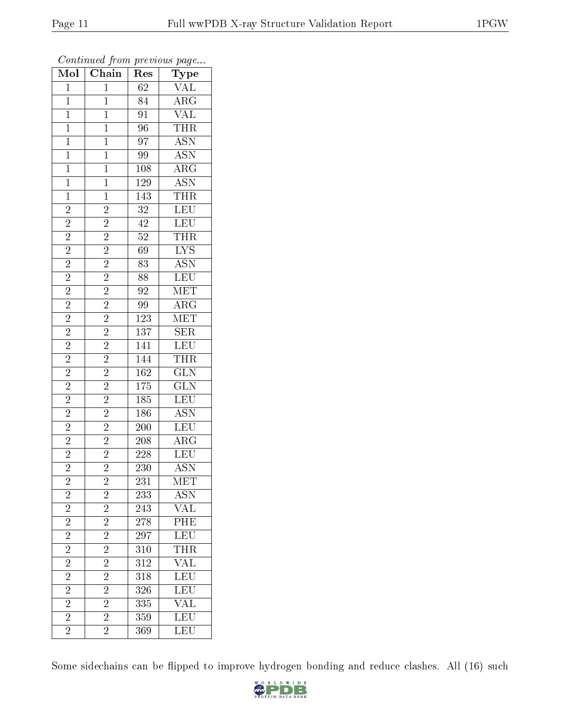| $\overline{\text{Mol}}$ | Chain                                                                                             | Res              | $\mathrm{Type}$                                                                         |
|-------------------------|---------------------------------------------------------------------------------------------------|------------------|-----------------------------------------------------------------------------------------|
| $\overline{1}$          | $\overline{1}$                                                                                    | $\overline{62}$  | $\overline{\text{VAL}}$                                                                 |
| $\mathbf{1}$            | $\mathbf{1}$                                                                                      | $\overline{84}$  | $\overline{\text{ARG}}$                                                                 |
| $\overline{1}$          | $\overline{1}$                                                                                    | $\overline{91}$  | $\frac{\overline{\text{VAL}}}{\sqrt{\text{AL}}}$                                        |
| $\mathbf{1}$            | $\mathbf{1}$                                                                                      | $\overline{96}$  | THR                                                                                     |
| $\overline{1}$          | $\overline{1}$                                                                                    | $\overline{97}$  | <b>ASN</b>                                                                              |
| $\overline{1}$          | $\overline{1}$                                                                                    | 99               | $\overline{\text{ASN}}$                                                                 |
| $\overline{1}$          | $\overline{1}$                                                                                    | $\overline{108}$ | $\overline{\rm ARG}$                                                                    |
| $\overline{1}$          | $\overline{1}$                                                                                    | <b>129</b>       |                                                                                         |
| $\mathbf{1}$            | $\overline{1}$                                                                                    | 143              |                                                                                         |
| $\overline{2}$          | $\overline{2}$                                                                                    | $\overline{32}$  | ASN<br>THR<br>LEU<br>LEU                                                                |
| $\overline{2}$          |                                                                                                   | $\overline{42}$  |                                                                                         |
| $\overline{2}$          |                                                                                                   | $\overline{52}$  |                                                                                         |
| $\overline{2}$          | $\frac{2}{2}$ $\frac{2}{2}$ $\frac{2}{2}$ $\frac{2}{2}$ $\frac{2}{2}$ $\frac{2}{2}$ $\frac{2}{2}$ | 69               | $\frac{\overline{\text{THR}}}{\text{LYS}}$                                              |
|                         |                                                                                                   | $\overline{83}$  | $\overline{\text{ASN}}$                                                                 |
| $\frac{2}{2}$           |                                                                                                   | $\overline{88}$  | LEU                                                                                     |
| $\overline{2}$          |                                                                                                   | $\rm 92$         | $\overline{\text{MET}}$                                                                 |
| $\overline{2}$          |                                                                                                   | 99               | $\overline{\text{ARG}}$                                                                 |
| $\overline{c}$          |                                                                                                   | $\overline{123}$ | <b>MET</b>                                                                              |
| $\overline{2}$          |                                                                                                   | $\overline{137}$ | $\overline{\text{SER}}$                                                                 |
| $\overline{2}$          |                                                                                                   | $\overline{141}$ | LEU                                                                                     |
| $\overline{2}$          | $\overline{2}$                                                                                    | $\overline{144}$ | <b>THR</b>                                                                              |
| $\overline{2}$          | $\overline{2}$                                                                                    | $\overline{162}$ | $\overline{\text{GLN}}$                                                                 |
| $\overline{c}$          |                                                                                                   | $175\,$          | $\overline{\text{GLN}}$                                                                 |
| $\overline{2}$          | $\frac{2}{2}$                                                                                     | $\overline{185}$ | LEU                                                                                     |
| $\overline{2}$          | $\overline{2}$                                                                                    | 186              | $\overline{\mathrm{ASN}}$                                                               |
| $\overline{2}$          | $\overline{2}$                                                                                    | $200\,$          | LEU                                                                                     |
| $\overline{2}$          |                                                                                                   | $\overline{208}$ | $\frac{1}{\text{ARG}}$                                                                  |
| $\overline{2}$          | $\frac{\overline{2}}{2}$                                                                          | 228              | <b>LEU</b>                                                                              |
| $\overline{2}$          |                                                                                                   | $\overline{230}$ | <b>ASN</b>                                                                              |
| $\overline{c}$          | $\overline{2}$                                                                                    | 231              | MET                                                                                     |
| $\overline{2}$          |                                                                                                   | 233              | $\frac{\overline{\mathrm{ASN}}}{\overline{\phantom{1}}}\$                               |
| $\overline{2}$          | $\frac{2}{2}$ $\frac{2}{2}$ $\frac{2}{2}$ $\frac{2}{2}$ $\frac{2}{2}$ $\frac{2}{2}$ $\frac{2}{2}$ | 243              | $\overline{\text{VAL}}$                                                                 |
|                         |                                                                                                   | 278              | $\begin{tabular}{ c c } \hline \hline PHE \\ \hline \hline LEU \\ \hline \end{tabular}$ |
| $\frac{2}{2}$           |                                                                                                   | 297              |                                                                                         |
| $\frac{2}{2}$           |                                                                                                   | 310              | THR                                                                                     |
| $\overline{2}$          |                                                                                                   | $\overline{312}$ | $\overline{\text{VAL}}$                                                                 |
| $\overline{2}$          |                                                                                                   | 318              |                                                                                         |
| $\overline{2}$          |                                                                                                   | 326              | LEU<br>LEU                                                                              |
| $\overline{2}$          |                                                                                                   | 335              | <b>VAL</b>                                                                              |
| $\overline{2}$          |                                                                                                   | 359              | LEU                                                                                     |
| $\overline{2}$          |                                                                                                   | 369              | LEU                                                                                     |

Continued from previous page...

Some sidechains can be flipped to improve hydrogen bonding and reduce clashes. All (16) such

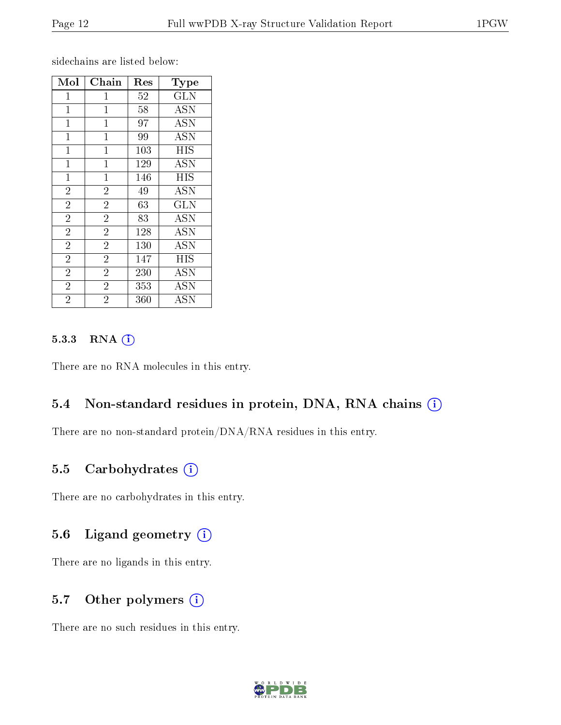sidechains are listed below:

| Mol            | Chain          | $\operatorname{Res}% \left( \mathcal{N}\right) \equiv\operatorname{Res}(\mathcal{N}_{0})\cap\mathcal{N}_{1}$ | Type                    |
|----------------|----------------|--------------------------------------------------------------------------------------------------------------|-------------------------|
| $\mathbf{1}$   | $\mathbf{1}$   | 52                                                                                                           | $\overline{\text{GLN}}$ |
| $\mathbf 1$    | $\mathbf{1}$   | 58                                                                                                           | <b>ASN</b>              |
| $\mathbf{1}$   | $\mathbf{1}$   | 97                                                                                                           | <b>ASN</b>              |
| $\mathbf 1$    | $\mathbf{1}$   | 99                                                                                                           | <b>ASN</b>              |
| $\mathbf{1}$   | $\mathbf{1}$   | 103                                                                                                          | <b>HIS</b>              |
| $\mathbf 1$    | $\mathbf 1$    | 129                                                                                                          | <b>ASN</b>              |
| $\mathbf{1}$   | $\mathbf 1$    | 146                                                                                                          | HIS                     |
| $\overline{2}$ | $\overline{2}$ | 49                                                                                                           | <b>ASN</b>              |
| $\overline{2}$ | $\overline{2}$ | 63                                                                                                           | <b>GLN</b>              |
| $\overline{2}$ | $\overline{2}$ | 83                                                                                                           | <b>ASN</b>              |
| $\overline{2}$ | $\overline{2}$ | 128                                                                                                          | <b>ASN</b>              |
| $\overline{2}$ | $\overline{2}$ | 130                                                                                                          | <b>ASN</b>              |
| $\overline{2}$ | $\overline{2}$ | 147                                                                                                          | <b>HIS</b>              |
| $\overline{2}$ | $\overline{2}$ | 230                                                                                                          | <b>ASN</b>              |
| $\overline{2}$ | $\overline{2}$ | 353                                                                                                          | $\overline{A}$ SN       |
| $\overline{2}$ | $\overline{2}$ | 360                                                                                                          | <b>ASN</b>              |

#### 5.3.3 RNA (1)

There are no RNA molecules in this entry.

### 5.4 Non-standard residues in protein, DNA, RNA chains (i)

There are no non-standard protein/DNA/RNA residues in this entry.

#### 5.5 Carbohydrates (i)

There are no carbohydrates in this entry.

#### 5.6 Ligand geometry (i)

There are no ligands in this entry.

#### 5.7 [O](https://www.wwpdb.org/validation/2017/XrayValidationReportHelp#nonstandard_residues_and_ligands)ther polymers (i)

There are no such residues in this entry.

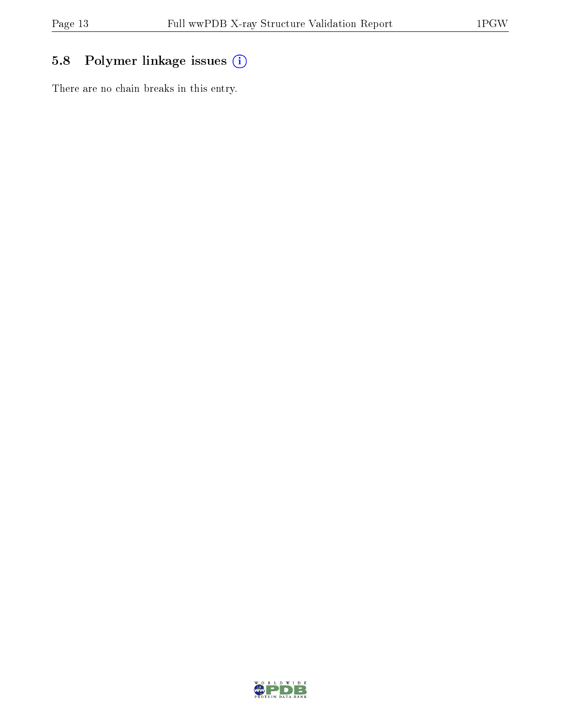## 5.8 Polymer linkage issues (i)

There are no chain breaks in this entry.